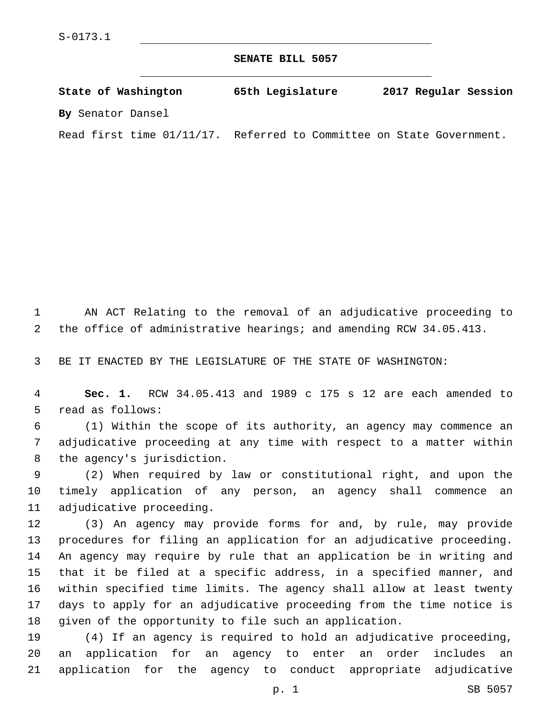**SENATE BILL 5057**

**State of Washington 65th Legislature 2017 Regular Session By** Senator Dansel

Read first time 01/11/17. Referred to Committee on State Government.

 AN ACT Relating to the removal of an adjudicative proceeding to the office of administrative hearings; and amending RCW 34.05.413.

BE IT ENACTED BY THE LEGISLATURE OF THE STATE OF WASHINGTON:

 **Sec. 1.** RCW 34.05.413 and 1989 c 175 s 12 are each amended to 5 read as follows:

 (1) Within the scope of its authority, an agency may commence an adjudicative proceeding at any time with respect to a matter within 8 the agency's jurisdiction.

 (2) When required by law or constitutional right, and upon the timely application of any person, an agency shall commence an 11 adjudicative proceeding.

 (3) An agency may provide forms for and, by rule, may provide procedures for filing an application for an adjudicative proceeding. An agency may require by rule that an application be in writing and that it be filed at a specific address, in a specified manner, and within specified time limits. The agency shall allow at least twenty days to apply for an adjudicative proceeding from the time notice is given of the opportunity to file such an application.

 (4) If an agency is required to hold an adjudicative proceeding, an application for an agency to enter an order includes an application for the agency to conduct appropriate adjudicative